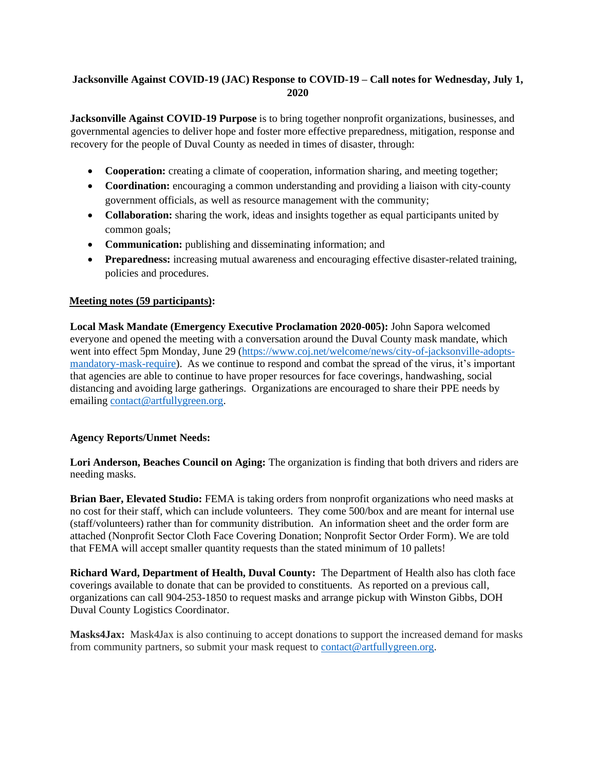# **Jacksonville Against COVID-19 (JAC) Response to COVID-19 – Call notes for Wednesday, July 1, 2020**

**Jacksonville Against COVID-19 Purpose** is to bring together nonprofit organizations, businesses, and governmental agencies to deliver hope and foster more effective preparedness, mitigation, response and recovery for the people of Duval County as needed in times of disaster, through:

- **Cooperation:** creating a climate of cooperation, information sharing, and meeting together;
- **Coordination:** encouraging a common understanding and providing a liaison with city-county government officials, as well as resource management with the community;
- **Collaboration:** sharing the work, ideas and insights together as equal participants united by common goals;
- **Communication:** publishing and disseminating information; and
- **Preparedness:** increasing mutual awareness and encouraging effective disaster-related training, policies and procedures.

#### **Meeting notes (59 participants):**

**Local Mask Mandate (Emergency Executive Proclamation 2020-005):** John Sapora welcomed everyone and opened the meeting with a conversation around the Duval County mask mandate, which went into effect 5pm Monday, June 29 [\(https://www.coj.net/welcome/news/city-of-jacksonville-adopts](https://www.coj.net/welcome/news/city-of-jacksonville-adopts-mandatory-mask-require)[mandatory-mask-require\)](https://www.coj.net/welcome/news/city-of-jacksonville-adopts-mandatory-mask-require). As we continue to respond and combat the spread of the virus, it's important that agencies are able to continue to have proper resources for face coverings, handwashing, social distancing and avoiding large gatherings. Organizations are encouraged to share their PPE needs by emailing [contact@artfullygreen.org.](mailto:coad@duvaldisasterrecovery.org)

#### **Agency Reports/Unmet Needs:**

**Lori Anderson, Beaches Council on Aging:** The organization is finding that both drivers and riders are needing masks.

**Brian Baer, Elevated Studio:** FEMA is taking orders from nonprofit organizations who need masks at no cost for their staff, which can include volunteers. They come 500/box and are meant for internal use (staff/volunteers) rather than for community distribution. An information sheet and the order form are attached (Nonprofit Sector Cloth Face Covering Donation; Nonprofit Sector Order Form). We are told that FEMA will accept smaller quantity requests than the stated minimum of 10 pallets!

**Richard Ward, Department of Health, Duval County:** The Department of Health also has cloth face coverings available to donate that can be provided to constituents. As reported on a previous call, organizations can call 904-253-1850 to request masks and arrange pickup with Winston Gibbs, DOH Duval County Logistics Coordinator.

**Masks4Jax:** Mask4Jax is also continuing to accept donations to support the increased demand for masks from community partners, so submit your mask request to [contact@artfullygreen.org.](mailto:coad@duvaldisasterrecovery.org)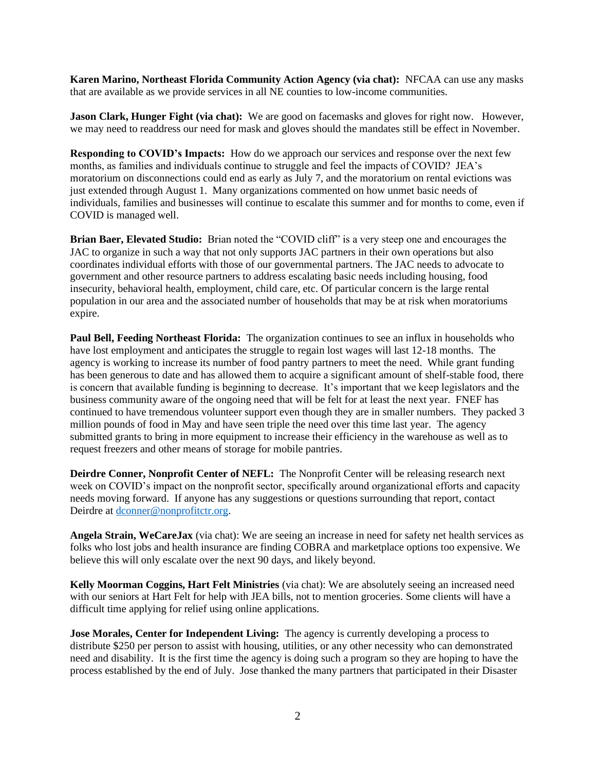**Karen Marino, Northeast Florida Community Action Agency (via chat):** NFCAA can use any masks that are available as we provide services in all NE counties to low-income communities.

**Jason Clark, Hunger Fight (via chat):** We are good on facemasks and gloves for right now. However, we may need to readdress our need for mask and gloves should the mandates still be effect in November.

**Responding to COVID's Impacts:** How do we approach our services and response over the next few months, as families and individuals continue to struggle and feel the impacts of COVID? JEA's moratorium on disconnections could end as early as July 7, and the moratorium on rental evictions was just extended through August 1. Many organizations commented on how unmet basic needs of individuals, families and businesses will continue to escalate this summer and for months to come, even if COVID is managed well.

**Brian Baer, Elevated Studio:** Brian noted the "COVID cliff" is a very steep one and encourages the JAC to organize in such a way that not only supports JAC partners in their own operations but also coordinates individual efforts with those of our governmental partners. The JAC needs to advocate to government and other resource partners to address escalating basic needs including housing, food insecurity, behavioral health, employment, child care, etc. Of particular concern is the large rental population in our area and the associated number of households that may be at risk when moratoriums expire.

**Paul Bell, Feeding Northeast Florida:** The organization continues to see an influx in households who have lost employment and anticipates the struggle to regain lost wages will last 12-18 months. The agency is working to increase its number of food pantry partners to meet the need. While grant funding has been generous to date and has allowed them to acquire a significant amount of shelf-stable food, there is concern that available funding is beginning to decrease. It's important that we keep legislators and the business community aware of the ongoing need that will be felt for at least the next year. FNEF has continued to have tremendous volunteer support even though they are in smaller numbers. They packed 3 million pounds of food in May and have seen triple the need over this time last year. The agency submitted grants to bring in more equipment to increase their efficiency in the warehouse as well as to request freezers and other means of storage for mobile pantries.

**Deirdre Conner, Nonprofit Center of NEFL:** The Nonprofit Center will be releasing research next week on COVID's impact on the nonprofit sector, specifically around organizational efforts and capacity needs moving forward. If anyone has any suggestions or questions surrounding that report, contact Deirdre at [dconner@nonprofitctr.org.](mailto:dconner@nonprofitctr.org)

**Angela Strain, WeCareJax** (via chat): We are seeing an increase in need for safety net health services as folks who lost jobs and health insurance are finding COBRA and marketplace options too expensive. We believe this will only escalate over the next 90 days, and likely beyond.

**Kelly Moorman Coggins, Hart Felt Ministries** (via chat): We are absolutely seeing an increased need with our seniors at Hart Felt for help with JEA bills, not to mention groceries. Some clients will have a difficult time applying for relief using online applications.

**Jose Morales, Center for Independent Living:** The agency is currently developing a process to distribute \$250 per person to assist with housing, utilities, or any other necessity who can demonstrated need and disability. It is the first time the agency is doing such a program so they are hoping to have the process established by the end of July. Jose thanked the many partners that participated in their Disaster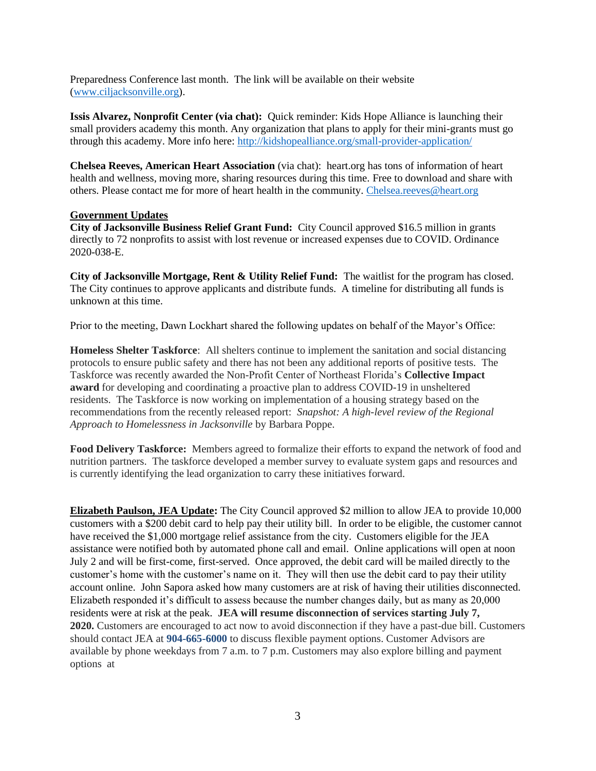Preparedness Conference last month. The link will be available on their website [\(www.ciljacksonville.org\)](http://www.ciljacksonville.org/).

**Issis Alvarez, Nonprofit Center (via chat):** Quick reminder: Kids Hope Alliance is launching their small providers academy this month. Any organization that plans to apply for their mini-grants must go through this academy. More info here:<http://kidshopealliance.org/small-provider-application/>

**Chelsea Reeves, American Heart Association** (via chat): heart.org has tons of information of heart health and wellness, moving more, sharing resources during this time. Free to download and share with others. Please contact me for more of heart health in the community. [Chelsea.reeves@heart.org](mailto:Chelsea.reeves@heart.org)

#### **Government Updates**

**City of Jacksonville Business Relief Grant Fund:** City Council approved \$16.5 million in grants directly to 72 nonprofits to assist with lost revenue or increased expenses due to COVID. Ordinance 2020-038-E.

**City of Jacksonville Mortgage, Rent & Utility Relief Fund:** The waitlist for the program has closed. The City continues to approve applicants and distribute funds. A timeline for distributing all funds is unknown at this time.

Prior to the meeting, Dawn Lockhart shared the following updates on behalf of the Mayor's Office:

**Homeless Shelter Taskforce**: All shelters continue to implement the sanitation and social distancing protocols to ensure public safety and there has not been any additional reports of positive tests. The Taskforce was recently awarded the Non-Profit Center of Northeast Florida's **Collective Impact award** for developing and coordinating a proactive plan to address COVID-19 in unsheltered residents. The Taskforce is now working on implementation of a housing strategy based on the recommendations from the recently released report: *Snapshot: A high-level review of the Regional Approach to Homelessness in Jacksonville* by Barbara Poppe.

**Food Delivery Taskforce:** Members agreed to formalize their efforts to expand the network of food and nutrition partners. The taskforce developed a member survey to evaluate system gaps and resources and is currently identifying the lead organization to carry these initiatives forward.

**Elizabeth Paulson, JEA Update:** The City Council approved \$2 million to allow JEA to provide 10,000 customers with a \$200 debit card to help pay their utility bill. In order to be eligible, the customer cannot have received the \$1,000 mortgage relief assistance from the city. Customers eligible for the JEA assistance were notified both by automated phone call and email. Online applications will open at noon July 2 and will be first-come, first-served. Once approved, the debit card will be mailed directly to the customer's home with the customer's name on it. They will then use the debit card to pay their utility account online. John Sapora asked how many customers are at risk of having their utilities disconnected. Elizabeth responded it's difficult to assess because the number changes daily, but as many as 20,000 residents were at risk at the peak. **JEA will resume disconnection of services starting July 7, 2020.** Customers are encouraged to act now to avoid disconnection if they have a past-due bill. Customers should contact JEA at **904-665-6000** to discuss flexible payment options. Customer Advisors are available by phone weekdays from 7 a.m. to 7 p.m. Customers may also explore billing and payment options at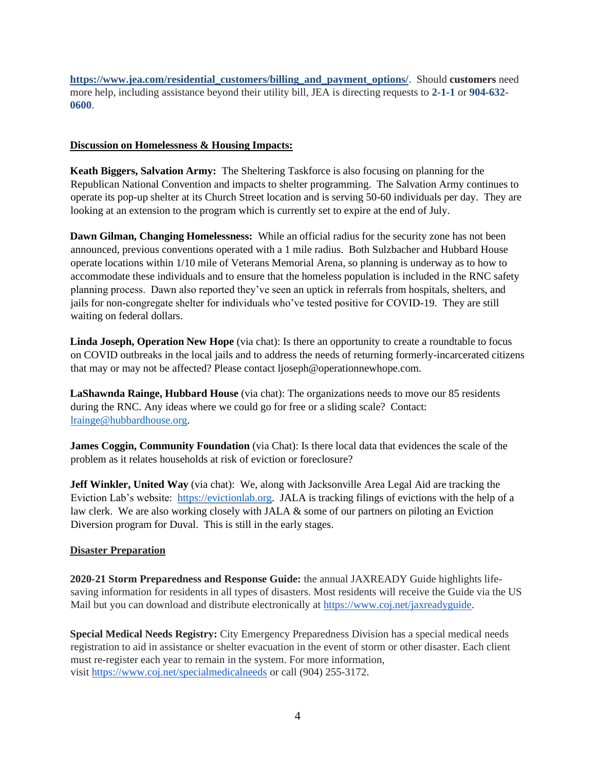**[https://www.jea.com/residential\\_customers/billing\\_and\\_payment\\_options/](https://www.jea.com/residential_customers/billing_and_payment_options/)**. Should **customers** need more help, including assistance beyond their utility bill, JEA is directing requests to **2-1-1** or **904-632- 0600**.

#### **Discussion on Homelessness & Housing Impacts:**

**Keath Biggers, Salvation Army:** The Sheltering Taskforce is also focusing on planning for the Republican National Convention and impacts to shelter programming. The Salvation Army continues to operate its pop-up shelter at its Church Street location and is serving 50-60 individuals per day. They are looking at an extension to the program which is currently set to expire at the end of July.

**Dawn Gilman, Changing Homelessness:** While an official radius for the security zone has not been announced, previous conventions operated with a 1 mile radius. Both Sulzbacher and Hubbard House operate locations within 1/10 mile of Veterans Memorial Arena, so planning is underway as to how to accommodate these individuals and to ensure that the homeless population is included in the RNC safety planning process. Dawn also reported they've seen an uptick in referrals from hospitals, shelters, and jails for non-congregate shelter for individuals who've tested positive for COVID-19. They are still waiting on federal dollars.

**Linda Joseph, Operation New Hope** (via chat): Is there an opportunity to create a roundtable to focus on COVID outbreaks in the local jails and to address the needs of returning formerly-incarcerated citizens that may or may not be affected? Please contact ljoseph@operationnewhope.com.

**LaShawnda Rainge, Hubbard House** (via chat): The organizations needs to move our 85 residents during the RNC. Any ideas where we could go for free or a sliding scale? Contact: [lrainge@hubbardhouse.org.](mailto:lrainge@hubbardhouse.org)

**James Coggin, Community Foundation** (via Chat): Is there local data that evidences the scale of the problem as it relates households at risk of eviction or foreclosure?

**Jeff Winkler, United Way** (via chat): We, along with Jacksonville Area Legal Aid are tracking the Eviction Lab's website: [https://evictionlab.org.](https://evictionlab.org/) JALA is tracking filings of evictions with the help of a law clerk. We are also working closely with JALA & some of our partners on piloting an Eviction Diversion program for Duval. This is still in the early stages.

#### **Disaster Preparation**

**2020-21 Storm Preparedness and Response Guide:** the annual JAXREADY Guide highlights lifesaving information for residents in all types of disasters. Most residents will receive the Guide via the US Mail but you can download and distribute electronically at [https://www.coj.net/jaxreadyguide.](https://www.coj.net/jaxreadyguide)

**Special Medical Needs Registry:** City Emergency Preparedness Division has a special medical needs registration to aid in assistance or shelter evacuation in the event of storm or other disaster. Each client must re-register each year to remain in the system. For more information, visit <https://www.coj.net/specialmedicalneeds> or call (904) 255-3172.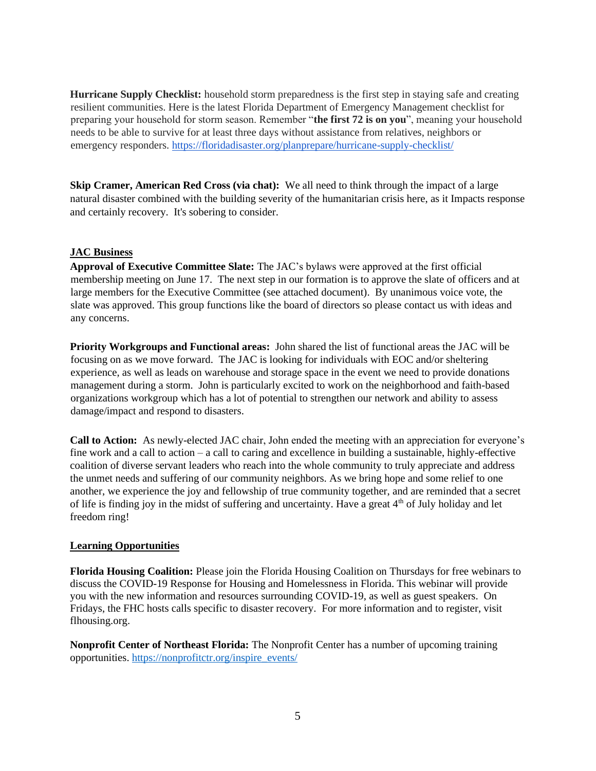**Hurricane Supply Checklist:** household storm preparedness is the first step in staying safe and creating resilient communities. Here is the latest Florida Department of Emergency Management checklist for preparing your household for storm season. Remember "**the first 72 is on you**", meaning your household needs to be able to survive for at least three days without assistance from relatives, neighbors or emergency responders. <https://floridadisaster.org/planprepare/hurricane-supply-checklist/>

**Skip Cramer, American Red Cross (via chat):** We all need to think through the impact of a large natural disaster combined with the building severity of the humanitarian crisis here, as it Impacts response and certainly recovery. It's sobering to consider.

#### **JAC Business**

**Approval of Executive Committee Slate:** The JAC's bylaws were approved at the first official membership meeting on June 17. The next step in our formation is to approve the slate of officers and at large members for the Executive Committee (see attached document). By unanimous voice vote, the slate was approved. This group functions like the board of directors so please contact us with ideas and any concerns.

**Priority Workgroups and Functional areas:** John shared the list of functional areas the JAC will be focusing on as we move forward. The JAC is looking for individuals with EOC and/or sheltering experience, as well as leads on warehouse and storage space in the event we need to provide donations management during a storm. John is particularly excited to work on the neighborhood and faith-based organizations workgroup which has a lot of potential to strengthen our network and ability to assess damage/impact and respond to disasters.

**Call to Action:** As newly-elected JAC chair, John ended the meeting with an appreciation for everyone's fine work and a call to action – a call to caring and excellence in building a sustainable, highly-effective coalition of diverse servant leaders who reach into the whole community to truly appreciate and address the unmet needs and suffering of our community neighbors. As we bring hope and some relief to one another, we experience the joy and fellowship of true community together, and are reminded that a secret of life is finding joy in the midst of suffering and uncertainty. Have a great 4th of July holiday and let freedom ring!

#### **Learning Opportunities**

**Florida Housing Coalition:** Please join the Florida Housing Coalition on Thursdays for free webinars to discuss the COVID-19 Response for Housing and Homelessness in Florida. This webinar will provide you with the new information and resources surrounding COVID-19, as well as guest speakers. On Fridays, the FHC hosts calls specific to disaster recovery. For more information and to register, visit flhousing.org.

**Nonprofit Center of Northeast Florida:** The Nonprofit Center has a number of upcoming training opportunities. [https://nonprofitctr.org/inspire\\_events/](https://nonprofitctr.org/inspire_events/)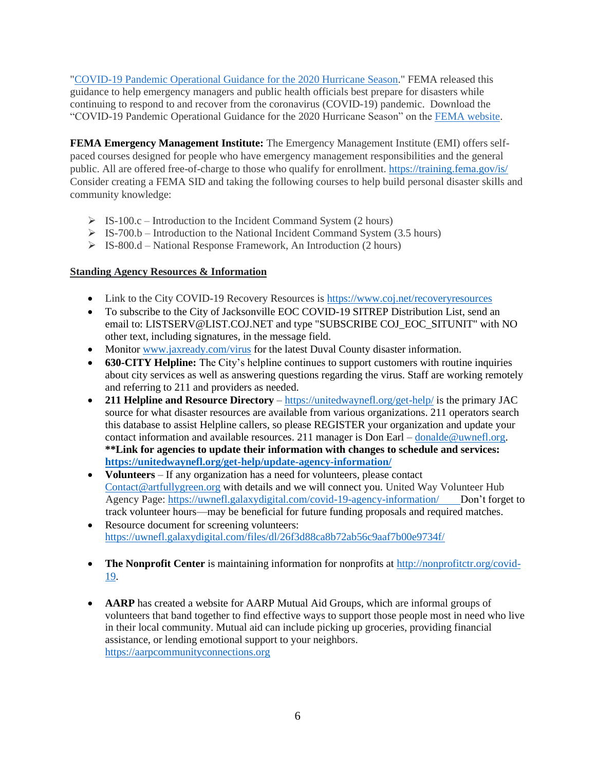["COVID-19 Pandemic Operational Guidance for the 2020 Hurricane Season.](https://lnks.gd/l/eyJhbGciOiJIUzI1NiJ9.eyJidWxsZXRpbl9saW5rX2lkIjoxMTAsInVyaSI6ImJwMjpjbGljayIsImJ1bGxldGluX2lkIjoiMjAyMDA2MTYuMjMwMzg5NjEiLCJ1cmwiOiJodHRwczovL3d3dy5mZW1hLmdvdi9tZWRpYS1saWJyYXJ5L2Fzc2V0cy9kb2N1bWVudHMvMTg4MjAzIn0.2k56cgn9qrGMr6odW0uqRHcf56wBnFYIqLpmN7gp0cA/s/981676149/br/79908961009-l)" FEMA released this guidance to help emergency managers and public health officials best prepare for disasters while continuing to respond to and recover from the coronavirus (COVID-19) pandemic. Download the "COVID-19 Pandemic Operational Guidance for the 2020 Hurricane Season" on the [FEMA website.](https://lnks.gd/l/eyJhbGciOiJIUzI1NiJ9.eyJidWxsZXRpbl9saW5rX2lkIjoxMTQsInVyaSI6ImJwMjpjbGljayIsImJ1bGxldGluX2lkIjoiMjAyMDA2MTYuMjMwMzg5NjEiLCJ1cmwiOiJodHRwczovL3d3dy5mZW1hLmdvdi9tZWRpYS1saWJyYXJ5L2Fzc2V0cy9kb2N1bWVudHMvMTg4MjAzIn0.yTCN7n1k2jC5MdAO7GBY2k_zcc7fQu5Wc-RF0M_LrqU/s/981676149/br/79908961009-l)

**FEMA Emergency Management Institute:** The Emergency Management Institute (EMI) offers selfpaced courses designed for people who have emergency management responsibilities and the general public. All are offered free-of-charge to those who qualify for enrollment[. https://training.fema.gov/is/](https://training.fema.gov/is/) Consider creating a FEMA SID and taking the following courses to help build personal disaster skills and community knowledge:

- $\triangleright$  IS-100.c Introduction to the Incident Command System (2 hours)
- $\triangleright$  IS-700.b Introduction to the National Incident Command System (3.5 hours)
- ➢ IS-800.d National Response Framework, An Introduction (2 hours)

#### **Standing Agency Resources & Information**

- Link to the City COVID-19 Recovery Resources is<https://www.coj.net/recoveryresources>
- To subscribe to the City of Jacksonville EOC COVID-19 SITREP Distribution List, send an email to: LISTSERV@LIST.COJ.NET and type "SUBSCRIBE COJ\_EOC\_SITUNIT" with NO other text, including signatures, in the message field.
- Monitor [www.jaxready.com/](http://www.jaxready.com/)virus for the latest Duval County disaster information.
- **630-CITY Helpline:** The City's helpline continues to support customers with routine inquiries about city services as well as answering questions regarding the virus. Staff are working remotely and referring to 211 and providers as needed.
- **211 Helpline and Resource Directory** <https://unitedwaynefl.org/get-help/> is the primary JAC source for what disaster resources are available from various organizations. 211 operators search this database to assist Helpline callers, so please REGISTER your organization and update your contact information and available resources. 211 manager is Don Earl – [donalde@uwnefl.org.](mailto:donalde@uwnefl.org) **\*\*Link for agencies to update their information with changes to schedule and services: <https://unitedwaynefl.org/get-help/update-agency-information/>**
- **Volunteers** If any organization has a need for volunteers, please contact Contact@artfullygreen.org with details and we will connect you. United Way Volunteer Hub Agency Page: [https://uwnefl.galaxydigital.com/covid-19-agency-information/ D](https://uwnefl.galaxydigital.com/covid-19-agency-information/)on't forget to track volunteer hours—may be beneficial for future funding proposals and required matches.
- Resource document for screening volunteers: <https://uwnefl.galaxydigital.com/files/dl/26f3d88ca8b72ab56c9aaf7b00e9734f/>
- **The Nonprofit Center** is maintaining information for nonprofits at [http://nonprofitctr.org/covid-](http://nonprofitctr.org/covid-19)[19.](http://nonprofitctr.org/covid-19)
- **AARP** has created a website for AARP Mutual Aid Groups, which are informal groups of volunteers that band together to find effective ways to support those people most in need who live in their local community. Mutual aid can include picking up groceries, providing financial assistance, or lending emotional support to your neighbors. [https://aarpcommunityconnections.org](https://aarpcommunityconnections.org/)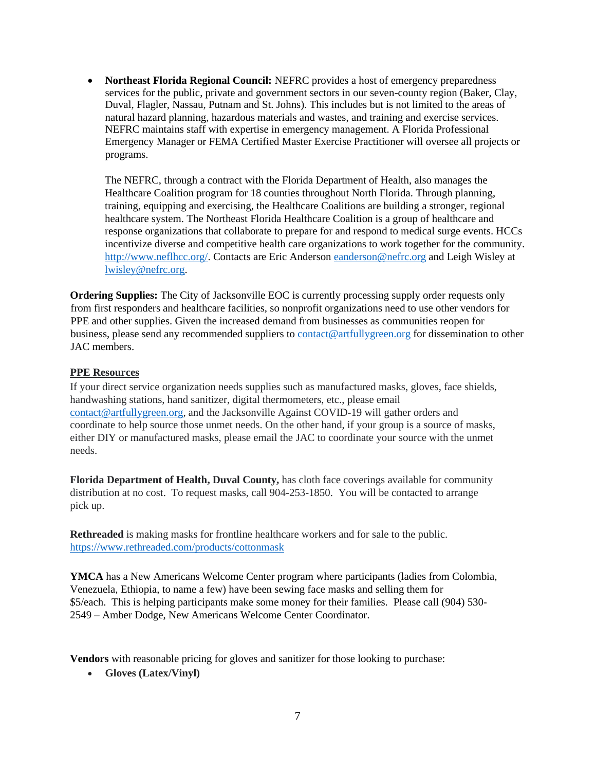• **Northeast Florida Regional Council:** NEFRC provides a host of emergency preparedness services for the public, private and government sectors in our seven-county region (Baker, Clay, Duval, Flagler, Nassau, Putnam and St. Johns). This includes but is not limited to the areas of natural hazard planning, hazardous materials and wastes, and training and exercise services. NEFRC maintains staff with expertise in emergency management. A Florida Professional Emergency Manager or FEMA Certified Master Exercise Practitioner will oversee all projects or programs.

The NEFRC, through a contract with the Florida Department of Health, also manages the Healthcare Coalition program for 18 counties throughout North Florida. Through planning, training, equipping and exercising, the Healthcare Coalitions are building a stronger, regional healthcare system. The Northeast Florida Healthcare Coalition is a group of healthcare and response organizations that collaborate to prepare for and respond to medical surge events. HCCs incentivize diverse and competitive health care organizations to work together for the community. [http://www.neflhcc.org/.](http://www.neflhcc.org/) Contacts are Eric Anderson [eanderson@nefrc.org](mailto:eanderson@nefrc.org) and Leigh Wisley at [lwisley@nefrc.org.](mailto:lwisley@nefrc.org)

**Ordering Supplies:** The City of Jacksonville EOC is currently processing supply order requests only from first responders and healthcare facilities, so nonprofit organizations need to use other vendors for PPE and other supplies. Given the increased demand from businesses as communities reopen for business, please send any recommended suppliers to [contact@artfullygreen.org](mailto:coad@duvaldisasterrecovery.org) for dissemination to other JAC members.

#### **PPE Resources**

If your direct service organization needs supplies such as manufactured masks, gloves, face shields, handwashing stations, hand sanitizer, digital thermometers, etc., please email [contact@artfullygreen.org,](mailto:coad@duvaldisasterrecovery.org) and the Jacksonville Against COVID-19 will gather orders and coordinate to help source those unmet needs. On the other hand, if your group is a source of masks, either DIY or manufactured masks, please email the JAC to coordinate your source with the unmet needs.

**Florida Department of Health, Duval County,** has cloth face coverings available for community distribution at no cost. To request masks, call 904-253-1850. You will be contacted to arrange pick up.

**Rethreaded** is making masks for frontline healthcare workers and for sale to the public. <https://www.rethreaded.com/products/cottonmask>

**YMCA** has a New Americans Welcome Center program where participants (ladies from Colombia, Venezuela, Ethiopia, to name a few) have been sewing face masks and selling them for \$5/each. This is helping participants make some money for their families. Please call (904) 530- 2549 – Amber Dodge, New Americans Welcome Center Coordinator.

**Vendors** with reasonable pricing for gloves and sanitizer for those looking to purchase:

• **Gloves (Latex/Vinyl)**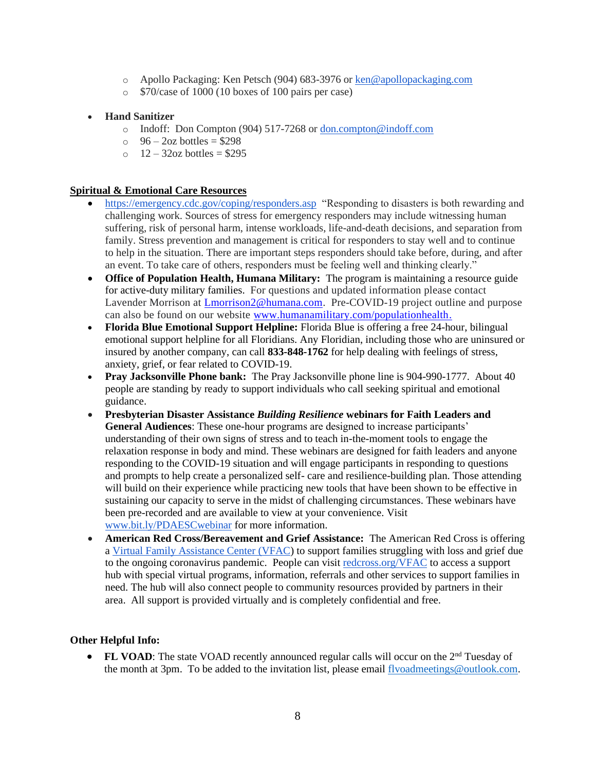- o Apollo Packaging: Ken Petsch (904) 683-3976 or [ken@apollopackaging.com](mailto:ken@apollopackaging.com)
- o \$70/case of 1000 (10 boxes of 100 pairs per case)

## • **Hand Sanitizer**

- o Indoff: Don Compton (904) 517-7268 or [don.compton@indoff.com](mailto:don.compton@indoff.com)
- $\degree$  96 2oz bottles = \$298
- $\degree$  12 32oz bottles = \$295

## **Spiritual & Emotional Care Resources**

- <https://emergency.cdc.gov/coping/responders.asp>"Responding to disasters is both rewarding and challenging work. Sources of stress for emergency responders may include witnessing human suffering, risk of personal harm, intense workloads, life-and-death decisions, and separation from family. Stress prevention and management is critical for responders to stay well and to continue to help in the situation. There are important steps responders should take before, during, and after an event. To take care of others, responders must be feeling well and thinking clearly."
- **Office of Population Health, Humana Military:** The program is maintaining a resource guide for active-duty military families. For questions and updated information please contact Lavender Morrison at [Lmorrison2@humana.com.](mailto:Lmorrison2@humana.com) Pre-COVID-19 project outline and purpose can also be found on our website [www.humanamilitary.com/populationhealth.](http://www.humanamilitary.com/populationhealth)
- **Florida Blue Emotional Support Helpline:** Florida Blue is offering a free 24-hour, bilingual emotional support helpline for all Floridians. Any Floridian, including those who are uninsured or insured by another company, can call **833-848-1762** for help dealing with feelings of stress, anxiety, grief, or fear related to COVID-19.
- **Pray Jacksonville Phone bank:** The Pray Jacksonville phone line is 904-990-1777. About 40 people are standing by ready to support individuals who call seeking spiritual and emotional guidance.
- **Presbyterian Disaster Assistance** *Building Resilience* **webinars for Faith Leaders and General Audiences**: These one-hour programs are designed to increase participants' understanding of their own signs of stress and to teach in-the-moment tools to engage the relaxation response in body and mind. These webinars are designed for faith leaders and anyone responding to the COVID-19 situation and will engage participants in responding to questions and prompts to help create a personalized self- care and resilience-building plan. Those attending will build on their experience while practicing new tools that have been shown to be effective in sustaining our capacity to serve in the midst of challenging circumstances. These webinars have been pre-recorded and are available to view at your convenience. Visit [www.bit.ly/PDAESCwebinar](http://www.bit.ly/PDAESCwebinar) for more information.
- **American Red Cross/Bereavement and Grief Assistance:** The American Red Cross is offering a [Virtual Family Assistance Center \(VFAC\)](https://www.redcross.org/virtual-family-assistance-center.html) to support families struggling with loss and grief due to the ongoing coronavirus pandemic. People can visit [redcross.org/VFAC](http://redcross.org/VFAC) to access a support hub with special virtual programs, information, referrals and other services to support families in need. The hub will also connect people to community resources provided by partners in their area. All support is provided virtually and is completely confidential and free.

#### **Other Helpful Info:**

• **FL VOAD**: The state VOAD recently announced regular calls will occur on the 2<sup>nd</sup> Tuesday of the month at 3pm. To be added to the invitation list, please email [flvoadmeetings@outlook.com.](mailto:flvoadmeetings@outlook.com)